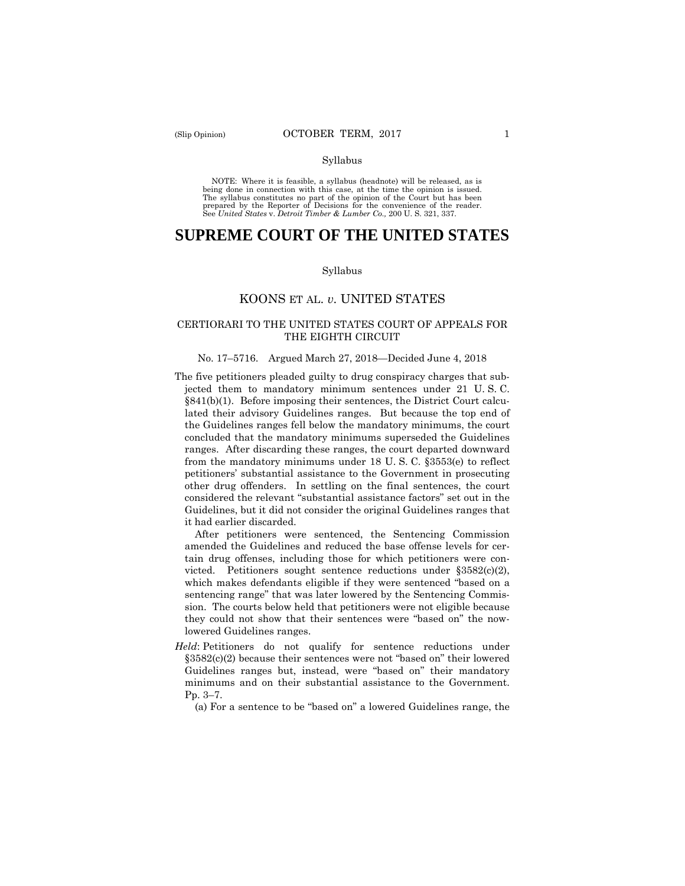#### Syllabus

 NOTE: Where it is feasible, a syllabus (headnote) will be released, as is being done in connection with this case, at the time the opinion is issued. The syllabus constitutes no part of the opinion of the Court but has been<br>prepared by the Reporter of Decisions for the convenience of the reader.<br>See United States v. Detroit Timber & Lumber Co., 200 U.S. 321, 337.

# **SUPREME COURT OF THE UNITED STATES**

#### Syllabus

### KOONS ET AL. *v.* UNITED STATES

### CERTIORARI TO THE UNITED STATES COURT OF APPEALS FOR THE EIGHTH CIRCUIT

#### No. 17–5716. Argued March 27, 2018—Decided June 4, 2018

The five petitioners pleaded guilty to drug conspiracy charges that subjected them to mandatory minimum sentences under 21 U. S. C. §841(b)(1). Before imposing their sentences, the District Court calculated their advisory Guidelines ranges. But because the top end of the Guidelines ranges fell below the mandatory minimums, the court concluded that the mandatory minimums superseded the Guidelines ranges. After discarding these ranges, the court departed downward from the mandatory minimums under 18 U. S. C. §3553(e) to reflect petitioners' substantial assistance to the Government in prosecuting other drug offenders. In settling on the final sentences, the court considered the relevant "substantial assistance factors" set out in the Guidelines, but it did not consider the original Guidelines ranges that it had earlier discarded.

After petitioners were sentenced, the Sentencing Commission amended the Guidelines and reduced the base offense levels for certain drug offenses, including those for which petitioners were convicted. Petitioners sought sentence reductions under §3582(c)(2), which makes defendants eligible if they were sentenced "based on a sentencing range" that was later lowered by the Sentencing Commission. The courts below held that petitioners were not eligible because they could not show that their sentences were "based on" the nowlowered Guidelines ranges.

*Held*: Petitioners do not qualify for sentence reductions under §3582(c)(2) because their sentences were not "based on" their lowered Guidelines ranges but, instead, were "based on" their mandatory minimums and on their substantial assistance to the Government. Pp. 3–7.

(a) For a sentence to be "based on" a lowered Guidelines range, the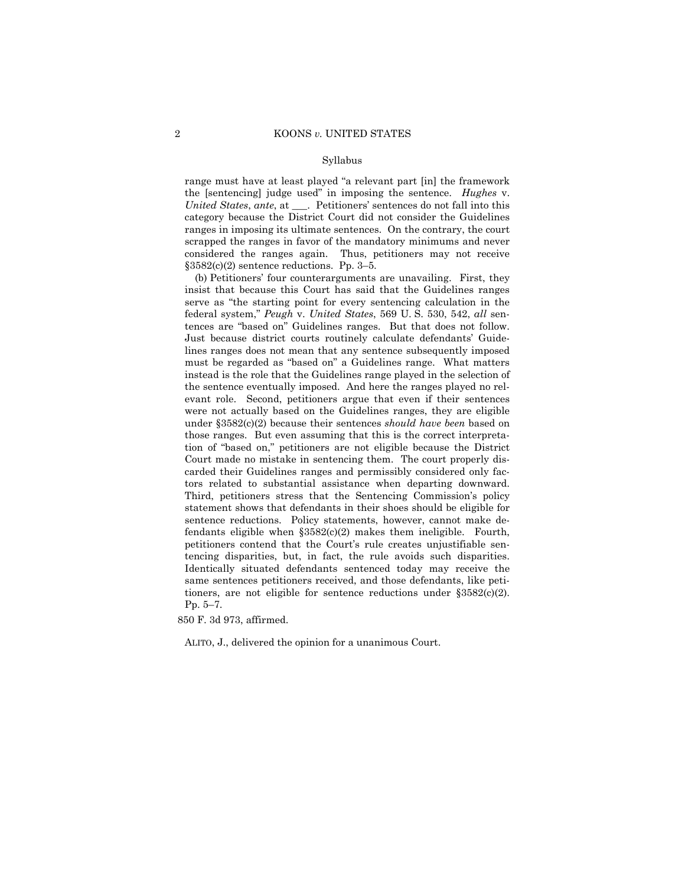#### Syllabus

range must have at least played "a relevant part [in] the framework the [sentencing] judge used" in imposing the sentence. *Hughes* v. *United States*, *ante*, at \_\_\_. Petitioners' sentences do not fall into this category because the District Court did not consider the Guidelines ranges in imposing its ultimate sentences. On the contrary, the court scrapped the ranges in favor of the mandatory minimums and never considered the ranges again. Thus, petitioners may not receive  $§3582(c)(2)$  sentence reductions. Pp. 3–5.

tences are "based on" Guidelines ranges. But that does not follow. (b) Petitioners' four counterarguments are unavailing. First, they insist that because this Court has said that the Guidelines ranges serve as "the starting point for every sentencing calculation in the federal system," *Peugh* v. *United States*, 569 U. S. 530, 542, *all* sen-Just because district courts routinely calculate defendants' Guidelines ranges does not mean that any sentence subsequently imposed must be regarded as "based on" a Guidelines range. What matters instead is the role that the Guidelines range played in the selection of the sentence eventually imposed. And here the ranges played no relevant role. Second, petitioners argue that even if their sentences were not actually based on the Guidelines ranges, they are eligible under §3582(c)(2) because their sentences *should have been* based on those ranges. But even assuming that this is the correct interpretation of "based on," petitioners are not eligible because the District Court made no mistake in sentencing them. The court properly discarded their Guidelines ranges and permissibly considered only factors related to substantial assistance when departing downward. Third, petitioners stress that the Sentencing Commission's policy statement shows that defendants in their shoes should be eligible for sentence reductions. Policy statements, however, cannot make defendants eligible when §3582(c)(2) makes them ineligible. Fourth, petitioners contend that the Court's rule creates unjustifiable sentencing disparities, but, in fact, the rule avoids such disparities. Identically situated defendants sentenced today may receive the same sentences petitioners received, and those defendants, like petitioners, are not eligible for sentence reductions under §3582(c)(2). Pp. 5–7.

850 F. 3d 973, affirmed.

ALITO, J., delivered the opinion for a unanimous Court.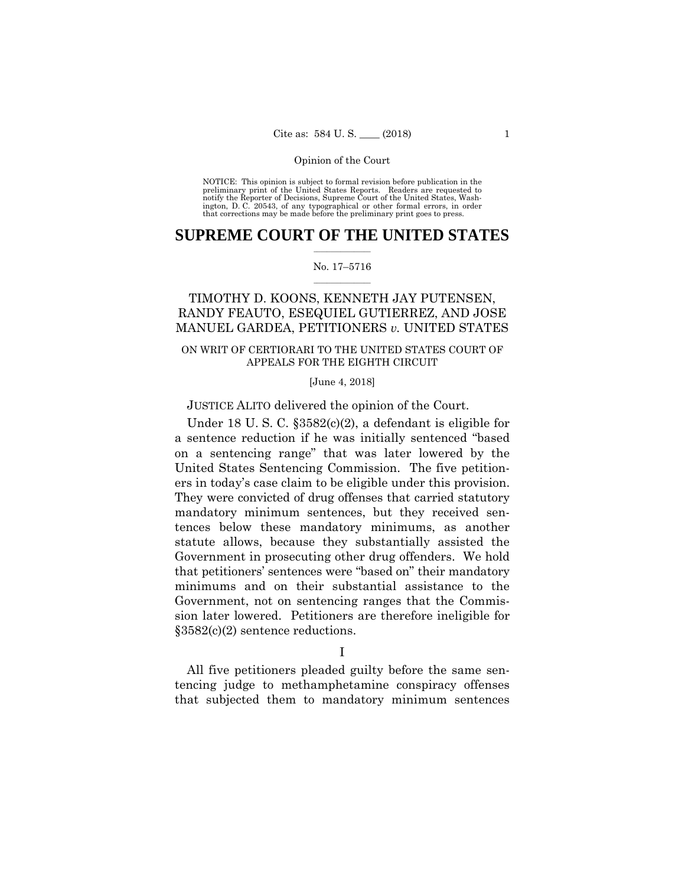preliminary print of the United States Reports. Readers are requested to notify the Reporter of Decisions, Supreme Court of the United States, Wash- ington, D. C. 20543, of any typographical or other formal errors, in order that corrections may be made before the preliminary print goes to press. NOTICE: This opinion is subject to formal revision before publication in the

### $\frac{1}{2}$  ,  $\frac{1}{2}$  ,  $\frac{1}{2}$  ,  $\frac{1}{2}$  ,  $\frac{1}{2}$  ,  $\frac{1}{2}$  ,  $\frac{1}{2}$ **SUPREME COURT OF THE UNITED STATES**

### $\frac{1}{2}$  ,  $\frac{1}{2}$  ,  $\frac{1}{2}$  ,  $\frac{1}{2}$  ,  $\frac{1}{2}$  ,  $\frac{1}{2}$ No. 17–5716

## TIMOTHY D. KOONS, KENNETH JAY PUTENSEN, RANDY FEAUTO, ESEQUIEL GUTIERREZ, AND JOSE MANUEL GARDEA, PETITIONERS *v.* UNITED STATES

### ON WRIT OF CERTIORARI TO THE UNITED STATES COURT OF APPEALS FOR THE EIGHTH CIRCUIT

[June 4, 2018]

JUSTICE ALITO delivered the opinion of the Court.

 that petitioners' sentences were "based on" their mandatory Under 18 U. S. C. §3582(c)(2), a defendant is eligible for a sentence reduction if he was initially sentenced "based on a sentencing range" that was later lowered by the United States Sentencing Commission. The five petitioners in today's case claim to be eligible under this provision. They were convicted of drug offenses that carried statutory mandatory minimum sentences, but they received sentences below these mandatory minimums, as another statute allows, because they substantially assisted the Government in prosecuting other drug offenders. We hold minimums and on their substantial assistance to the Government, not on sentencing ranges that the Commission later lowered. Petitioners are therefore ineligible for §3582(c)(2) sentence reductions.

I

All five petitioners pleaded guilty before the same sentencing judge to methamphetamine conspiracy offenses that subjected them to mandatory minimum sentences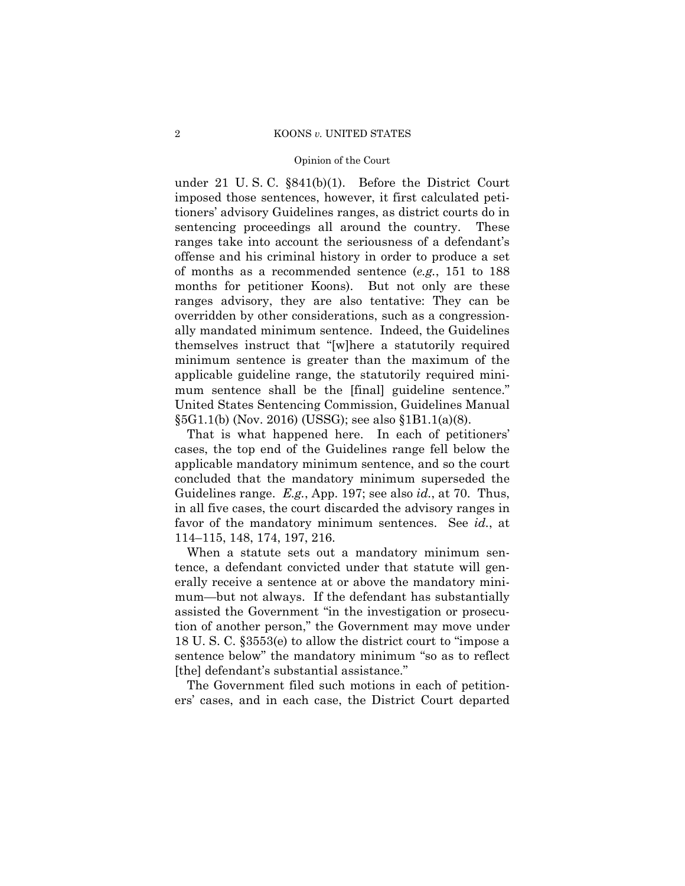### 2 KOONS *v.* UNITED STATES

### Opinion of the Court

under 21 U. S. C. §841(b)(1). Before the District Court imposed those sentences, however, it first calculated petitioners' advisory Guidelines ranges, as district courts do in sentencing proceedings all around the country. These ranges take into account the seriousness of a defendant's offense and his criminal history in order to produce a set of months as a recommended sentence (*e.g.*, 151 to 188 months for petitioner Koons). But not only are these ranges advisory, they are also tentative: They can be overridden by other considerations, such as a congressionally mandated minimum sentence. Indeed, the Guidelines themselves instruct that "[w]here a statutorily required minimum sentence is greater than the maximum of the applicable guideline range, the statutorily required minimum sentence shall be the [final] guideline sentence." United States Sentencing Commission, Guidelines Manual §5G1.1(b) (Nov. 2016) (USSG); see also §1B1.1(a)(8).

That is what happened here. In each of petitioners' cases, the top end of the Guidelines range fell below the applicable mandatory minimum sentence, and so the court concluded that the mandatory minimum superseded the Guidelines range. *E.g.*, App. 197; see also *id.*, at 70. Thus, in all five cases, the court discarded the advisory ranges in favor of the mandatory minimum sentences. See *id.*, at 114–115, 148, 174, 197, 216.

When a statute sets out a mandatory minimum sentence, a defendant convicted under that statute will generally receive a sentence at or above the mandatory minimum—but not always. If the defendant has substantially assisted the Government "in the investigation or prosecution of another person," the Government may move under 18 U. S. C. §3553(e) to allow the district court to "impose a sentence below" the mandatory minimum "so as to reflect [the] defendant's substantial assistance."

The Government filed such motions in each of petitioners' cases, and in each case, the District Court departed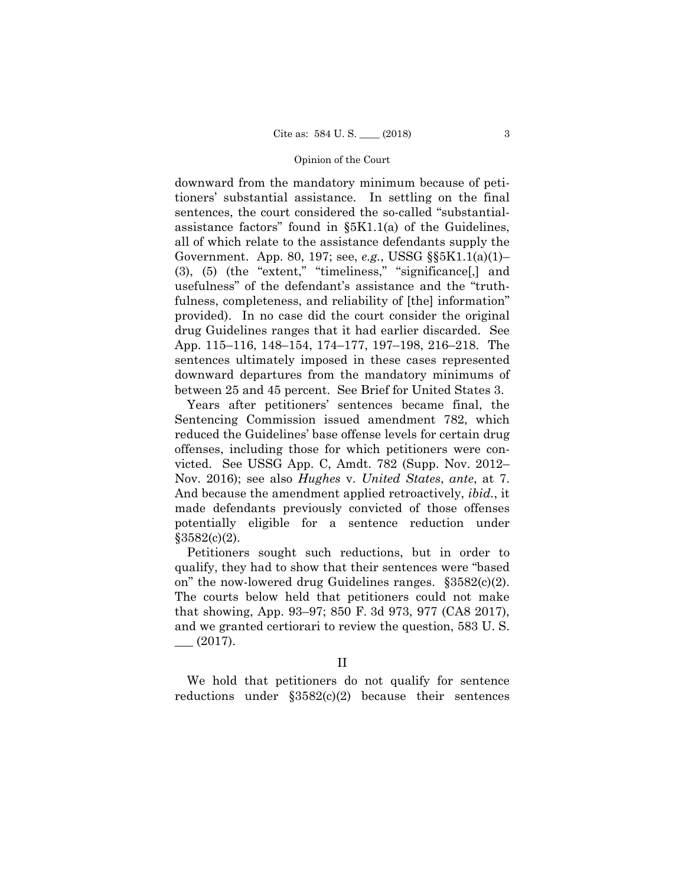downward from the mandatory minimum because of petitioners' substantial assistance. In settling on the final sentences, the court considered the so-called "substantialassistance factors" found in  $\S$ 5K1.1(a) of the Guidelines, all of which relate to the assistance defendants supply the Government. App. 80, 197; see, *e.g.*, USSG §§5K1.1(a)(1)– (3), (5) (the "extent," "timeliness," "significance[,] and usefulness" of the defendant's assistance and the "truthfulness, completeness, and reliability of [the] information" provided). In no case did the court consider the original drug Guidelines ranges that it had earlier discarded. See App. 115–116, 148–154, 174–177, 197–198, 216–218. The sentences ultimately imposed in these cases represented downward departures from the mandatory minimums of between 25 and 45 percent. See Brief for United States 3.

Years after petitioners' sentences became final, the Sentencing Commission issued amendment 782, which reduced the Guidelines' base offense levels for certain drug offenses, including those for which petitioners were convicted. See USSG App. C, Amdt. 782 (Supp. Nov. 2012– Nov. 2016); see also *Hughes* v. *United States*, *ante*, at 7. And because the amendment applied retroactively, *ibid.*, it made defendants previously convicted of those offenses potentially eligible for a sentence reduction under  $$3582(c)(2)$ .

Petitioners sought such reductions, but in order to qualify, they had to show that their sentences were "based on" the now-lowered drug Guidelines ranges. §3582(c)(2). The courts below held that petitioners could not make that showing, App. 93–97; 850 F. 3d 973, 977 (CA8 2017), and we granted certiorari to review the question, 583 U. S.  $-$  (2017).

II

We hold that petitioners do not qualify for sentence reductions under §3582(c)(2) because their sentences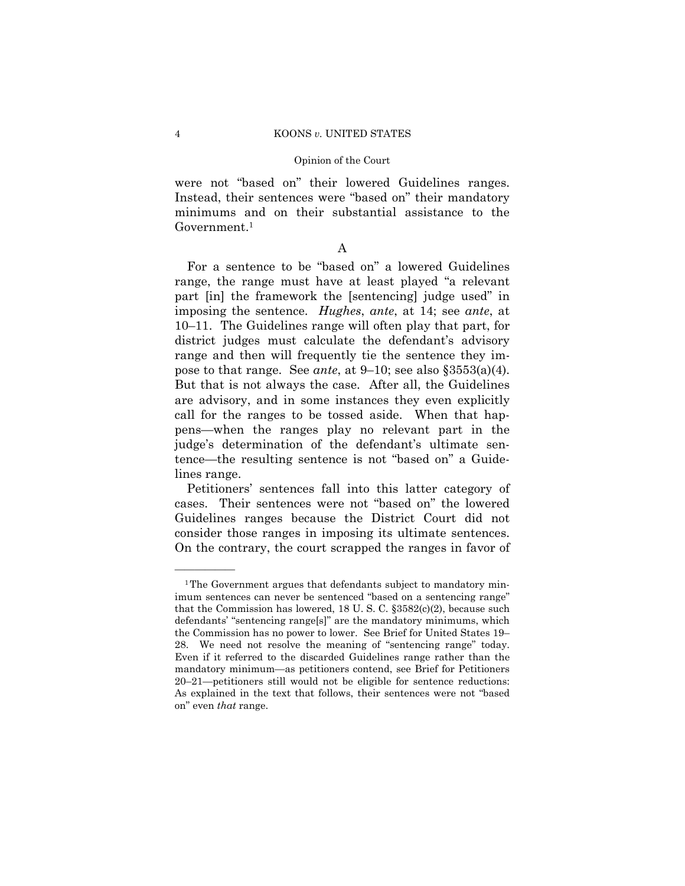were not "based on" their lowered Guidelines ranges. Instead, their sentences were "based on" their mandatory minimums and on their substantial assistance to the Government.<sup>1</sup>

### A

 pose to that range. See *ante*, at 9–10; see also §3553(a)(4). For a sentence to be "based on" a lowered Guidelines range, the range must have at least played "a relevant part [in] the framework the [sentencing] judge used" in imposing the sentence. *Hughes*, *ante*, at 14; see *ante*, at 10–11. The Guidelines range will often play that part, for district judges must calculate the defendant's advisory range and then will frequently tie the sentence they im-But that is not always the case. After all, the Guidelines are advisory, and in some instances they even explicitly call for the ranges to be tossed aside. When that happens—when the ranges play no relevant part in the judge's determination of the defendant's ultimate sentence—the resulting sentence is not "based on" a Guidelines range.

Petitioners' sentences fall into this latter category of cases. Their sentences were not "based on" the lowered Guidelines ranges because the District Court did not consider those ranges in imposing its ultimate sentences. On the contrary, the court scrapped the ranges in favor of

——————

<sup>&</sup>lt;sup>1</sup>The Government argues that defendants subject to mandatory minimum sentences can never be sentenced "based on a sentencing range" that the Commission has lowered, 18 U. S. C. §3582(c)(2), because such defendants' "sentencing range[s]" are the mandatory minimums, which the Commission has no power to lower. See Brief for United States 19– 28. We need not resolve the meaning of "sentencing range" today. Even if it referred to the discarded Guidelines range rather than the mandatory minimum—as petitioners contend, see Brief for Petitioners 20–21—petitioners still would not be eligible for sentence reductions: As explained in the text that follows, their sentences were not "based on" even *that* range.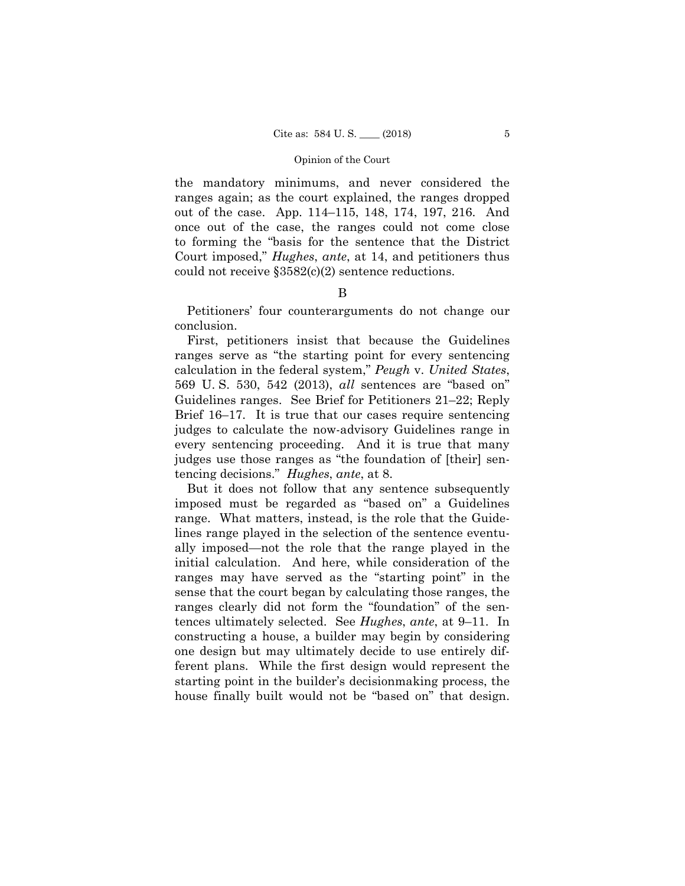the mandatory minimums, and never considered the ranges again; as the court explained, the ranges dropped out of the case. App. 114–115, 148, 174, 197, 216. And once out of the case, the ranges could not come close to forming the "basis for the sentence that the District Court imposed," *Hughes*, *ante*, at 14, and petitioners thus could not receive §3582(c)(2) sentence reductions.

### B

Petitioners' four counterarguments do not change our conclusion.

First, petitioners insist that because the Guidelines ranges serve as "the starting point for every sentencing calculation in the federal system," *Peugh* v. *United States*, 569 U. S. 530, 542 (2013), *all* sentences are "based on" Guidelines ranges. See Brief for Petitioners 21–22; Reply Brief 16–17. It is true that our cases require sentencing judges to calculate the now-advisory Guidelines range in every sentencing proceeding. And it is true that many judges use those ranges as "the foundation of [their] sentencing decisions." *Hughes*, *ante*, at 8.

But it does not follow that any sentence subsequently imposed must be regarded as "based on" a Guidelines range. What matters, instead, is the role that the Guidelines range played in the selection of the sentence eventually imposed—not the role that the range played in the initial calculation. And here, while consideration of the ranges may have served as the "starting point" in the sense that the court began by calculating those ranges, the ranges clearly did not form the "foundation" of the sentences ultimately selected. See *Hughes*, *ante*, at 9–11. In constructing a house, a builder may begin by considering one design but may ultimately decide to use entirely different plans. While the first design would represent the starting point in the builder's decisionmaking process, the house finally built would not be "based on" that design.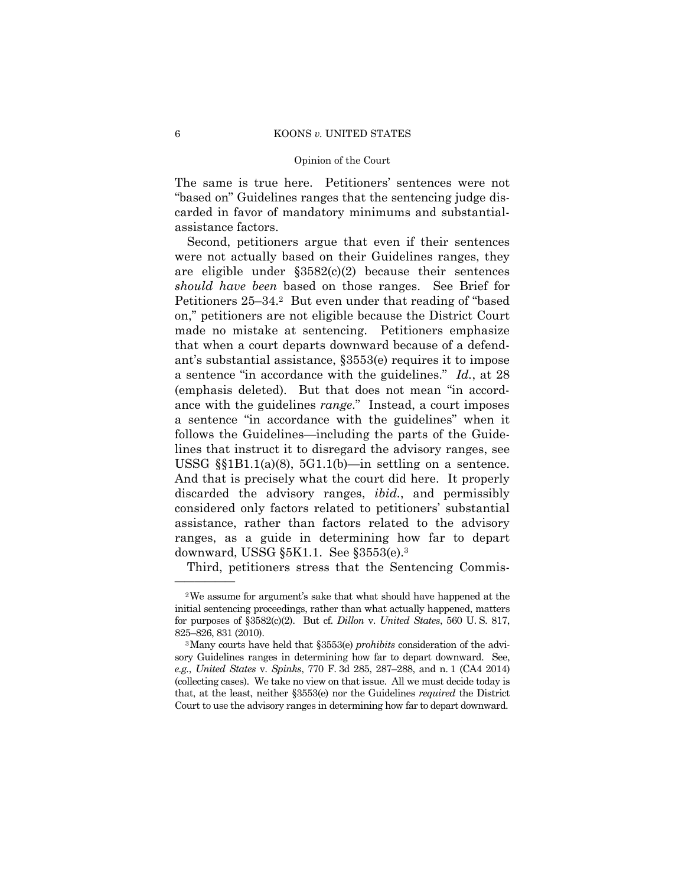The same is true here. Petitioners' sentences were not "based on" Guidelines ranges that the sentencing judge discarded in favor of mandatory minimums and substantialassistance factors.

Second, petitioners argue that even if their sentences were not actually based on their Guidelines ranges, they are eligible under §3582(c)(2) because their sentences *should have been* based on those ranges. See Brief for Petitioners 25–34.2 But even under that reading of "based on," petitioners are not eligible because the District Court made no mistake at sentencing. Petitioners emphasize that when a court departs downward because of a defendant's substantial assistance, §3553(e) requires it to impose a sentence "in accordance with the guidelines." *Id.*, at 28 (emphasis deleted). But that does not mean "in accordance with the guidelines *range*." Instead, a court imposes a sentence "in accordance with the guidelines" when it follows the Guidelines—including the parts of the Guidelines that instruct it to disregard the advisory ranges, see USSG  $\S$ [ss]B1.1(a)(8), 5G1.1(b)—in settling on a sentence. And that is precisely what the court did here. It properly discarded the advisory ranges, *ibid.*, and permissibly considered only factors related to petitioners' substantial assistance, rather than factors related to the advisory ranges, as a guide in determining how far to depart downward, USSG §5K1.1. See §3553(e).3

Third, petitioners stress that the Sentencing Commis-

——————

<sup>2</sup>We assume for argument's sake that what should have happened at the initial sentencing proceedings, rather than what actually happened, matters for purposes of §3582(c)(2). But cf. *Dillon* v. *United States*, 560 U. S. 817, 825–826, 831 (2010). 3Many courts have held that §3553(e) *prohibits* consideration of the advi-

 *e.g.*, *United States* v. *Spinks*, 770 F. 3d 285, 287–288, and n. 1 (CA4 2014) Court to use the advisory ranges in determining how far to depart downward. sory Guidelines ranges in determining how far to depart downward. See, (collecting cases). We take no view on that issue. All we must decide today is that, at the least, neither §3553(e) nor the Guidelines *required* the District